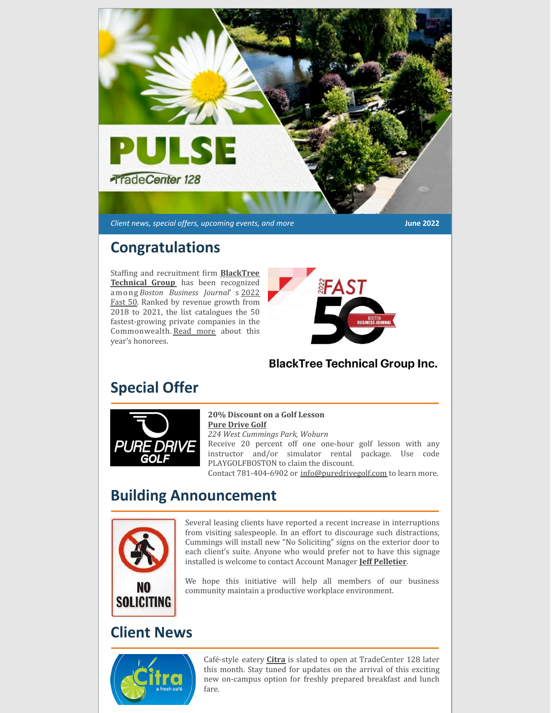

*Client news, special offers, upcoming events, and more* **June 2022**

## **Congratulations**

Stafing and [recruitment](https://blacktreetech.com/) irm **BlackTree Technical Group** has been recognized among *Boston [Business](https://www.bizjournals.com/boston/news/2022/03/22/bbj-releases-this-year-s-list-of-fast-50-honorees.html) Journal*' s 2022 Fast 50. Ranked by revenue growth from 2018 to 2021, the list catalogues the 50 fastest-growing private companies in the Commonwealth. [Read](https://www.bizjournals.com/boston/news/2022/03/22/bbj-releases-this-year-s-list-of-fast-50-honorees.html) more about this year's honorees.



### **BlackTree Technical Group Inc.**

# **Special Offer**



#### **20% Discount on a Golf Lesson Pure [Drive](https://puredrivegolf.com/) Golf**

*224 West Cummings Park, Woburn*

Receive 20 percent off one one-hour golf lesson with any instructor and/or simulator rental package. Use code PLAYGOLFBOSTON to claim the discount.

Contact 781-404-6902 or [info@puredrivegolf.com](mailto:info@puredrivegolf.com) to learn more.

## **Building Announcement**



Several leasing clients have reported a recent increase in interruptions from visiting salespeople. In an effort to discourage such distractions, Cummings will install new "No Soliciting" signs on the exterior door to each client's suite. Anyone who would prefer not to have this signage installed is welcome to contact Account Manager **Jeff [Pelletier](mailto:jpp@cummings.com)**.

We hope this initiative will help all members of our business community maintain a productive workplace environment.

### **Client News**



Café-style eatery **[Citra](https://www.citrafreshcafe.com/)** is slated to open at TradeCenter 128 later this month. Stay tuned for updates on the arrival of this exciting new on-campus option for freshly prepared breakfast and lunch fare.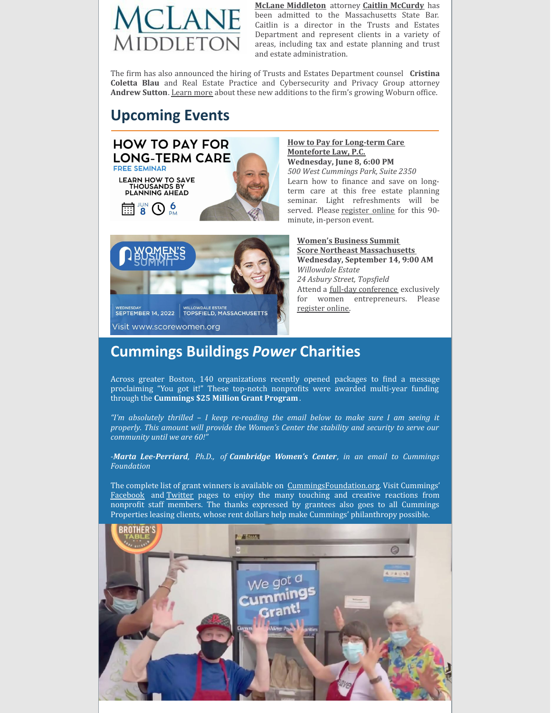

**McLane [Middleton](http://www.mclane.com/)** attorney **Caitlin [McCurdy](https://www.mclane.com/news/mclane-middletons-caitlin-mccurdy-admitted-to-massachusetts-state-bar/)** has been admitted to the Massachusetts State Bar. Caitlin is a director in the Trusts and Estates Department and represent clients in a variety of areas, including tax and estate planning and trust and estate administration.

The irm has also announced the hiring of Trusts and Estates Department counsel **Cristina Coletta Blau** and Real Estate Practice and Cybersecurity and Privacy Group attorney **Andrew Sutton**. [Learn](https://www.mclane.com/news/mclane-middleton-adds-cristina-coletta-blau-and-andrew-sutton-to-growing-woburn-office/) more about these new additions to the firm's growing Woburn office.

### **Upcoming Events**



#### **How to Pay for [Long-term](https://www.montefortelaw.com/reports/estate-planning-and-elder-law-seminars-ma.cfm) Care [Monteforte](https://www.montefortelaw.com/) Law, P.C.**

**Wednesday, June 8, 6:00 PM** *500 West Cummings Park, Suite 2350* Learn how to finance and save on longterm care at this free estate planning seminar. Light refreshments will be served. Please [register](https://www.montefortelaw.com/reports/estate-planning-and-elder-law-seminars-ma.cfm) online for this 90 minute, in-person event.



**[Women's](https://www.scorewomen.org/) Business Summit Score Northeast [Massachusetts](https://nemassachusetts.score.org/) Wednesday, September 14, 9:00 AM** *Willowdale Estate 24 Asbury Street, Topsfield* Attend a full-day [conference](https://www.scorewomen.org/agenda) exclusively for women entrepreneurs. Please [register](https://events.r20.constantcontact.com/register/eventReg?c=&ch=&oeidk=a07eixey5vhb97a3bee&oseq=) online.

## **Cummings Buildings** *Power* **Charities**

Across greater Boston, 140 organizations recently opened packages to find a message proclaiming "You got it!" These top-notch nonproits were awarded multi-year funding through the **Cummings \$25 Million Grant Program**.

*"I'm absolutely thrilled – I keep re-reading the email below to make sure I am seeing it properly. This amount will provide the Women's Center the stability and security to serve our community until we are 60!"*

*-Marta Lee-Perriard, Ph.D., of Cambridge Women's Center, in an email to Cummings Foundation*

The complete list of grant winners is available on [CummingsFoundation.org](https://www.cummingsfoundation.org/grants/grant-recipients.html). Visit Cummings' [Facebook](https://www.facebook.com/cummingsfoundation/) and [Twitter](https://twitter.com/cummingsdotcom) pages to enjoy the many touching and creative reactions from nonprofit staff members. The thanks expressed by grantees also goes to all Cummings Properties leasing clients, whose rent dollars help make Cummings' philanthropy possible.

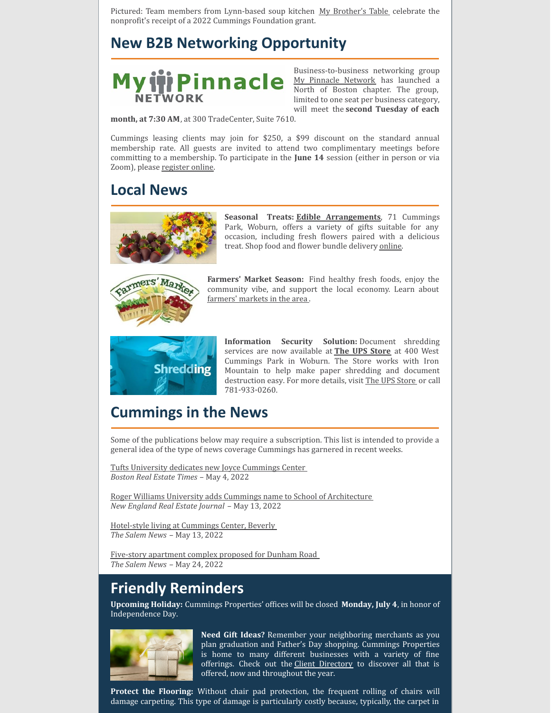Pictured: Team members from Lynn-based soup kitchen My [Brother's](https://mybrotherstable.org/) Table celebrate the nonprofit's receipt of a 2022 Cummings Foundation grant.

### **New B2B Networking Opportunity**



Business-to-business networking group My Pinnacle [Network](https://www.mypinnaclenetwork.com/) has launched a North of Boston chapter. The group, limited to one seat per business category, will meet the **second Tuesday of each**

**month, at 7:30 AM**, at 300 TradeCenter, Suite 7610.

Cummings leasing clients may join for \$250, a \$99 discount on the standard annual membership rate. All guests are invited to attend two complimentary meetings before committing to a membership. To participate in the **June 14** session (either in person or via Zoom), please [register](https://www.mypinnaclenetwork.com/visit/) online.

### **Local News**



**Seasonal Treats: Edible [Arrangements](https://www.ediblearrangements.com/flower-delivery?utm_source=cordial&utm_medium=email&utm_campaign=051122_US_Engaged_Rewards_Everyday)**, 71 Cummings Park, Woburn, offers a variety of gifts suitable for any occasion, including fresh flowers paired with a delicious treat. Shop food and flower bundle delivery [online](https://www.ediblearrangements.com/flower-delivery?utm_source=cordial&utm_medium=email&utm_campaign=051122_US_Engaged_Rewards_Everyday).



**Farmers' Market Season:** Find healthy fresh foods, enjoy the community vibe, and support the local economy. Learn about [farmers'](https://massnrc.org/farmlocator/map.aspx?Type=Farmers Markets) markets in the area .



**Information Security Solution:** Document shredding services are now available at **The UPS [Store](https://locations.theupsstore.com/ma/woburn/400-w-cummings-park?utm_source=Yext&utm_medium=organic&utm_campaign=Listings)** at 400 West Cummings Park in Woburn. The Store works with Iron Mountain to help make paper shredding and document destruction easy. For more details, visit The UPS [Store](https://locations.theupsstore.com/ma/woburn/400-w-cummings-park?utm_source=Yext&utm_medium=organic&utm_campaign=Listings) or call 781‑933‑0260.

### **Cummings in the News**

Some of the publications below may require a subscription. This list is intended to provide a general idea of the type of news coverage Cummings has garnered in recent weeks.

Tufts University dedicates new Joyce [Cummings](https://bostonrealestatetimes.com/tufts-university-dedicates-new-joyce-cummings-center/) Center *Boston Real Estate Times* – May 4, 2022

Roger Williams University adds Cummings name to School of [Architecture](https://nerej.com/cummings-foundation-pledges-20-million-to-roger-williams-university) *New England Real Estate Journal* – May 13, 2022

[Hotel-style](https://www.salemnews.com/homes/hotel-style-living-right-here-in-beverly/article_acb94c58-cfc8-11ec-8d9d-6f3457950111.html) living at Cummings Center, Beverly *The Salem News* – May 13, 2022

Five-story [apartment](https://www.salemnews.com/news/5-story-apartment-complex-proposed-for-dunham-road/article_bfffcd5e-d776-11ec-9d9f-c3be00cc5842.html) complex proposed for Dunham Road *The Salem News* – May 24, 2022

## **Friendly Reminders**

**Upcoming Holiday:** Cummings Properties' offices will be closed **Monday, July 4**, in honor of Independence Day.



**Need Gift Ideas?** Remember your neighboring merchants as you plan graduation and Father's Day shopping. Cummings Properties is home to many different businesses with a variety of fine offerings. Check out the Client [Directory](http://directory.cummings.com/) to discover all that is offered, now and throughout the year.

**Protect the Flooring:** Without chair pad protection, the frequent rolling of chairs will damage carpeting. This type of damage is particularly costly because, typically, the carpet in